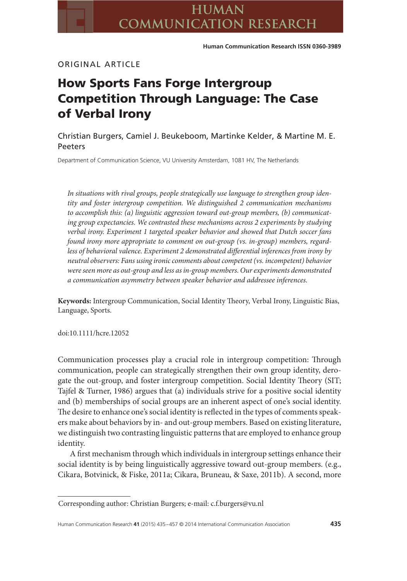# ORIGINAL ARTICLE

# **How Sports Fans Forge Intergroup Competition Through Language: The Case of Verbal Irony**

Christian Burgers, Camiel J. Beukeboom, Martinke Kelder, & Martine M. E. Peeters

Department of Communication Science, VU University Amsterdam, 1081 HV, The Netherlands

*In situations with rival groups, people strategically use language to strengthen group identity and foster intergroup competition. We distinguished 2 communication mechanisms to accomplish this: (a) linguistic aggression toward out-group members, (b) communicating group expectancies. We contrasted these mechanisms across 2 experiments by studying verbal irony. Experiment 1 targeted speaker behavior and showed that Dutch soccer fans found irony more appropriate to comment on out-group (vs. in-group) members, regardless of behavioral valence. Experiment 2 demonstrated differential inferences from irony by neutral observers: Fans using ironic comments about competent (vs. incompetent) behavior were seen more as out-group and less as in-group members. Our experiments demonstrated a communication asymmetry between speaker behavior and addressee inferences.*

**Keywords:** Intergroup Communication, Social Identity Theory, Verbal Irony, Linguistic Bias, Language, Sports.

doi:10.1111/hcre.12052

Communication processes play a crucial role in intergroup competition: Through communication, people can strategically strengthen their own group identity, derogate the out-group, and foster intergroup competition. Social Identity Theory (SIT; Tajfel & Turner, 1986) argues that (a) individuals strive for a positive social identity and (b) memberships of social groups are an inherent aspect of one's social identity. The desire to enhance one's social identity is reflected in the types of comments speakers make about behaviors by in- and out-group members. Based on existing literature, we distinguish two contrasting linguistic patterns that are employed to enhance group identity.

A first mechanism through which individuals in intergroup settings enhance their social identity is by being linguistically aggressive toward out-group members. (e.g., Cikara, Botvinick, & Fiske, 2011a; Cikara, Bruneau, & Saxe, 2011b). A second, more

Corresponding author: Christian Burgers; e-mail: c.f.burgers@vu.nl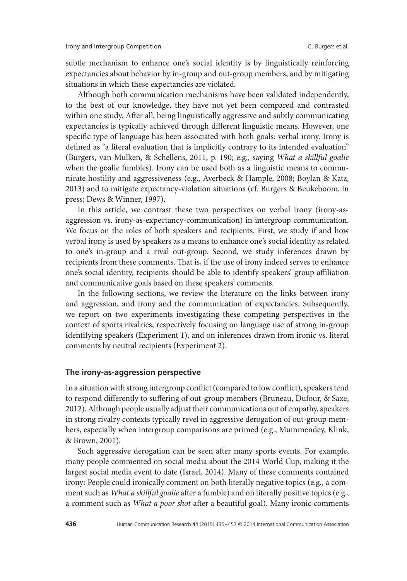subtle mechanism to enhance one's social identity is by linguistically reinforcing expectancies about behavior by in-group and out-group members, and by mitigating situations in which these expectancies are violated.

Although both communication mechanisms have been validated independently, to the best of our knowledge, they have not yet been compared and contrasted within one study. After all, being linguistically aggressive and subtly communicating expectancies is typically achieved through different linguistic means. However, one specific type of language has been associated with both goals: verbal irony. Irony is defined as "a literal evaluation that is implicitly contrary to its intended evaluation" (Burgers, van Mulken, & Schellens, 2011, p. 190; e.g., saying *What a skillful goalie* when the goalie fumbles). Irony can be used both as a linguistic means to communicate hostility and aggressiveness (e.g., Averbeck & Hample, 2008; Boylan & Katz, 2013) and to mitigate expectancy-violation situations (cf. Burgers & Beukeboom, in press; Dews & Winner, 1997).

In this article, we contrast these two perspectives on verbal irony (irony-asaggression vs. irony-as-expectancy-communication) in intergroup communication. We focus on the roles of both speakers and recipients. First, we study if and how verbal irony is used by speakers as a means to enhance one's social identity as related to one's in-group and a rival out-group. Second, we study inferences drawn by recipients from these comments. That is, if the use of irony indeed serves to enhance one's social identity, recipients should be able to identify speakers' group affiliation and communicative goals based on these speakers' comments.

In the following sections, we review the literature on the links between irony and aggression, and irony and the communication of expectancies. Subsequently, we report on two experiments investigating these competing perspectives in the context of sports rivalries, respectively focusing on language use of strong in-group identifying speakers (Experiment 1), and on inferences drawn from ironic vs. literal comments by neutral recipients (Experiment 2).

# **The irony-as-aggression perspective**

In a situation with strong intergroup conflict (compared to low conflict), speakers tend to respond differently to suffering of out-group members (Bruneau, Dufour, & Saxe, 2012). Although people usually adjust their communications out of empathy, speakers in strong rivalry contexts typically revel in aggressive derogation of out-group members, especially when intergroup comparisons are primed (e.g., Mummendey, Klink, & Brown, 2001).

Such aggressive derogation can be seen after many sports events. For example, many people commented on social media about the 2014 World Cup, making it the largest social media event to date (Israel, 2014). Many of these comments contained irony: People could ironically comment on both literally negative topics (e.g., a comment such as *What a skillful goalie* after a fumble) and on literally positive topics (e.g., a comment such as *What a poor shot* after a beautiful goal). Many ironic comments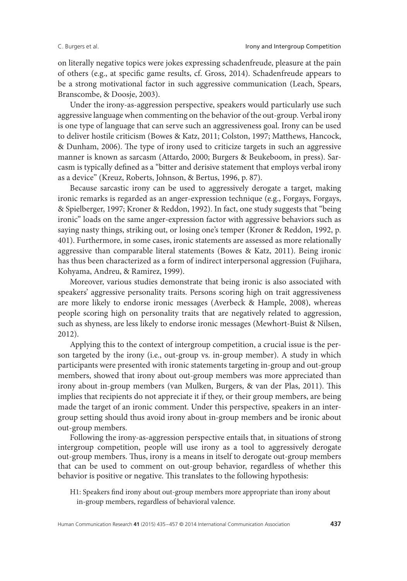on literally negative topics were jokes expressing schadenfreude, pleasure at the pain of others (e.g., at specific game results, cf. Gross, 2014). Schadenfreude appears to be a strong motivational factor in such aggressive communication (Leach, Spears, Branscombe, & Doosje, 2003).

Under the irony-as-aggression perspective, speakers would particularly use such aggressive language when commenting on the behavior of the out-group. Verbal irony is one type of language that can serve such an aggressiveness goal. Irony can be used to deliver hostile criticism (Bowes & Katz, 2011; Colston, 1997; Matthews, Hancock, & Dunham, 2006). The type of irony used to criticize targets in such an aggressive manner is known as sarcasm (Attardo, 2000; Burgers & Beukeboom, in press). Sarcasm is typically defined as a "bitter and derisive statement that employs verbal irony as a device" (Kreuz, Roberts, Johnson, & Bertus, 1996, p. 87).

Because sarcastic irony can be used to aggressively derogate a target, making ironic remarks is regarded as an anger-expression technique (e.g., Forgays, Forgays, & Spielberger, 1997; Kroner & Reddon, 1992). In fact, one study suggests that "being ironic" loads on the same anger-expression factor with aggressive behaviors such as saying nasty things, striking out, or losing one's temper (Kroner & Reddon, 1992, p. 401). Furthermore, in some cases, ironic statements are assessed as more relationally aggressive than comparable literal statements (Bowes & Katz, 2011). Being ironic has thus been characterized as a form of indirect interpersonal aggression (Fujihara, Kohyama, Andreu, & Ramirez, 1999).

Moreover, various studies demonstrate that being ironic is also associated with speakers' aggressive personality traits. Persons scoring high on trait aggressiveness are more likely to endorse ironic messages (Averbeck & Hample, 2008), whereas people scoring high on personality traits that are negatively related to aggression, such as shyness, are less likely to endorse ironic messages (Mewhort-Buist & Nilsen, 2012).

Applying this to the context of intergroup competition, a crucial issue is the person targeted by the irony (i.e., out-group vs. in-group member). A study in which participants were presented with ironic statements targeting in-group and out-group members, showed that irony about out-group members was more appreciated than irony about in-group members (van Mulken, Burgers, & van der Plas, 2011). This implies that recipients do not appreciate it if they, or their group members, are being made the target of an ironic comment. Under this perspective, speakers in an intergroup setting should thus avoid irony about in-group members and be ironic about out-group members.

Following the irony-as-aggression perspective entails that, in situations of strong intergroup competition, people will use irony as a tool to aggressively derogate out-group members. Thus, irony is a means in itself to derogate out-group members that can be used to comment on out-group behavior, regardless of whether this behavior is positive or negative. This translates to the following hypothesis:

H1: Speakers find irony about out-group members more appropriate than irony about in-group members, regardless of behavioral valence.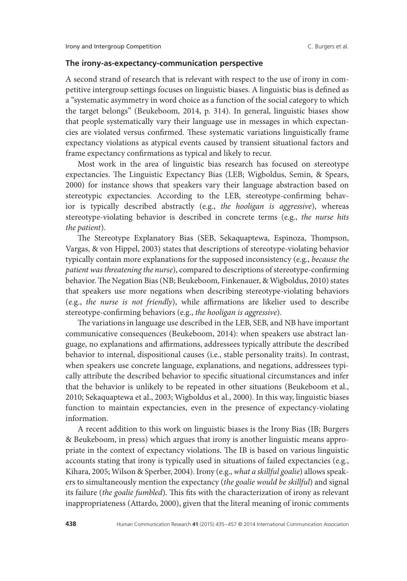# **The irony-as-expectancy-communication perspective**

A second strand of research that is relevant with respect to the use of irony in competitive intergroup settings focuses on linguistic biases. A linguistic bias is defined as a "systematic asymmetry in word choice as a function of the social category to which the target belongs" (Beukeboom, 2014, p. 314). In general, linguistic biases show that people systematically vary their language use in messages in which expectancies are violated versus confirmed. These systematic variations linguistically frame expectancy violations as atypical events caused by transient situational factors and frame expectancy confirmations as typical and likely to recur.

Most work in the area of linguistic bias research has focused on stereotype expectancies. The Linguistic Expectancy Bias (LEB; Wigboldus, Semin, & Spears, 2000) for instance shows that speakers vary their language abstraction based on stereotypic expectancies. According to the LEB, stereotype-confirming behavior is typically described abstractly (e.g., *the hooligan is aggressive*), whereas stereotype-violating behavior is described in concrete terms (e.g., *the nurse hits the patient*).

The Stereotype Explanatory Bias (SEB, Sekaquaptewa, Espinoza, Thompson, Vargas, & von Hippel, 2003) states that descriptions of stereotype-violating behavior typically contain more explanations for the supposed inconsistency (e.g., *because the patient was threatening the nurse*), compared to descriptions of stereotype-confirming behavior.The Negation Bias (NB; Beukeboom, Finkenauer, & Wigboldus, 2010) states that speakers use more negations when describing stereotype-violating behaviors (e.g., *the nurse is not friendly*), while affirmations are likelier used to describe stereotype-confirming behaviors (e.g., *the hooligan is aggressive*).

The variations in language use described in the LEB, SEB, and NB have important communicative consequences (Beukeboom, 2014): when speakers use abstract language, no explanations and affirmations, addressees typically attribute the described behavior to internal, dispositional causes (i.e., stable personality traits). In contrast, when speakers use concrete language, explanations, and negations, addressees typically attribute the described behavior to specific situational circumstances and infer that the behavior is unlikely to be repeated in other situations (Beukeboom et al., 2010; Sekaquaptewa et al., 2003; Wigboldus et al., 2000). In this way, linguistic biases function to maintain expectancies, even in the presence of expectancy-violating information.

A recent addition to this work on linguistic biases is the Irony Bias (IB; Burgers & Beukeboom, in press) which argues that irony is another linguistic means appropriate in the context of expectancy violations. The IB is based on various linguistic accounts stating that irony is typically used in situations of failed expectancies (e.g., Kihara, 2005; Wilson & Sperber, 2004). Irony (e.g., *what a skillful goalie*) allows speakers to simultaneously mention the expectancy (*the goalie would be skillful*) and signal its failure (*the goalie fumbled*). This fits with the characterization of irony as relevant inappropriateness (Attardo, 2000), given that the literal meaning of ironic comments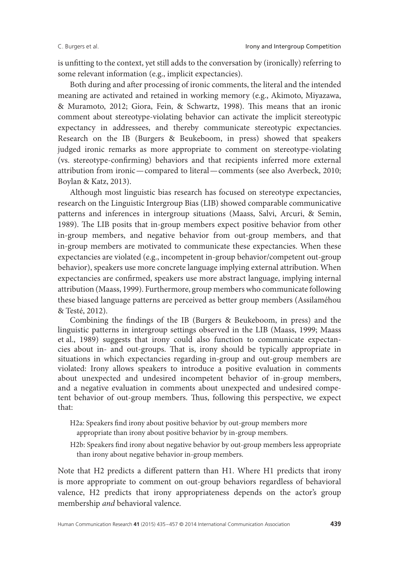is unfitting to the context, yet still adds to the conversation by (ironically) referring to some relevant information (e.g., implicit expectancies).

Both during and after processing of ironic comments, the literal and the intended meaning are activated and retained in working memory (e.g., Akimoto, Miyazawa, & Muramoto, 2012; Giora, Fein, & Schwartz, 1998). This means that an ironic comment about stereotype-violating behavior can activate the implicit stereotypic expectancy in addressees, and thereby communicate stereotypic expectancies. Research on the IB (Burgers & Beukeboom, in press) showed that speakers judged ironic remarks as more appropriate to comment on stereotype-violating (vs. stereotype-confirming) behaviors and that recipients inferred more external attribution from ironic—compared to literal—comments (see also Averbeck, 2010; Boylan & Katz, 2013).

Although most linguistic bias research has focused on stereotype expectancies, research on the Linguistic Intergroup Bias (LIB) showed comparable communicative patterns and inferences in intergroup situations (Maass, Salvi, Arcuri, & Semin, 1989). The LIB posits that in-group members expect positive behavior from other in-group members, and negative behavior from out-group members, and that in-group members are motivated to communicate these expectancies. When these expectancies are violated (e.g., incompetent in-group behavior/competent out-group behavior), speakers use more concrete language implying external attribution. When expectancies are confirmed, speakers use more abstract language, implying internal attribution (Maass, 1999). Furthermore, group members who communicate following these biased language patterns are perceived as better group members (Assilaméhou & Testé, 2012).

Combining the findings of the IB (Burgers & Beukeboom, in press) and the linguistic patterns in intergroup settings observed in the LIB (Maass, 1999; Maass et al., 1989) suggests that irony could also function to communicate expectancies about in- and out-groups. That is, irony should be typically appropriate in situations in which expectancies regarding in-group and out-group members are violated: Irony allows speakers to introduce a positive evaluation in comments about unexpected and undesired incompetent behavior of in-group members, and a negative evaluation in comments about unexpected and undesired competent behavior of out-group members. Thus, following this perspective, we expect that:

- H2a: Speakers find irony about positive behavior by out-group members more appropriate than irony about positive behavior by in-group members.
- H2b: Speakers find irony about negative behavior by out-group members less appropriate than irony about negative behavior in-group members.

Note that H2 predicts a different pattern than H1. Where H1 predicts that irony is more appropriate to comment on out-group behaviors regardless of behavioral valence, H2 predicts that irony appropriateness depends on the actor's group membership *and* behavioral valence.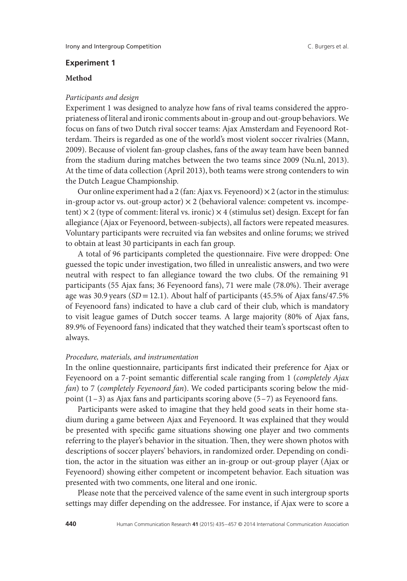# **Experiment 1**

# **Method**

#### *Participants and design*

Experiment 1 was designed to analyze how fans of rival teams considered the appropriateness of literal and ironic comments about in-group and out-group behaviors.We focus on fans of two Dutch rival soccer teams: Ajax Amsterdam and Feyenoord Rotterdam. Theirs is regarded as one of the world's most violent soccer rivalries (Mann, 2009). Because of violent fan-group clashes, fans of the away team have been banned from the stadium during matches between the two teams since 2009 (Nu.nl, 2013). At the time of data collection (April 2013), both teams were strong contenders to win the Dutch League Championship.

Our online experiment had a 2 (fan: Ajax vs. Feyenoord)  $\times$  2 (actor in the stimulus: in-group actor vs. out-group actor)  $\times$  2 (behavioral valence: competent vs. incompetent)  $\times$  2 (type of comment: literal vs. ironic)  $\times$  4 (stimulus set) design. Except for fan allegiance (Ajax or Feyenoord, between-subjects), all factors were repeated measures. Voluntary participants were recruited via fan websites and online forums; we strived to obtain at least 30 participants in each fan group.

A total of 96 participants completed the questionnaire. Five were dropped: One guessed the topic under investigation, two filled in unrealistic answers, and two were neutral with respect to fan allegiance toward the two clubs. Of the remaining 91 participants (55 Ajax fans; 36 Feyenoord fans), 71 were male (78.0%). Their average age was 30.9 years (*SD* =12.1). About half of participants (45.5% of Ajax fans/47.5% of Feyenoord fans) indicated to have a club card of their club, which is mandatory to visit league games of Dutch soccer teams. A large majority (80% of Ajax fans, 89.9% of Feyenoord fans) indicated that they watched their team's sportscast often to always.

### *Procedure, materials, and instrumentation*

In the online questionnaire, participants first indicated their preference for Ajax or Feyenoord on a 7-point semantic differential scale ranging from 1 (*completely Ajax fan*) to 7 (*completely Feyenoord fan*). We coded participants scoring below the midpoint  $(1-3)$  as Ajax fans and participants scoring above  $(5-7)$  as Feyenoord fans.

Participants were asked to imagine that they held good seats in their home stadium during a game between Ajax and Feyenoord. It was explained that they would be presented with specific game situations showing one player and two comments referring to the player's behavior in the situation. Then, they were shown photos with descriptions of soccer players' behaviors, in randomized order. Depending on condition, the actor in the situation was either an in-group or out-group player (Ajax or Feyenoord) showing either competent or incompetent behavior. Each situation was presented with two comments, one literal and one ironic.

Please note that the perceived valence of the same event in such intergroup sports settings may differ depending on the addressee. For instance, if Ajax were to score a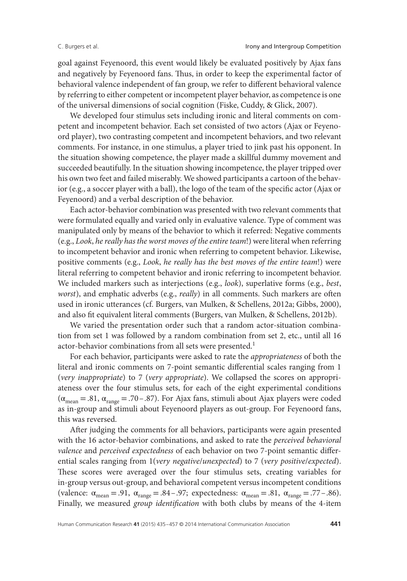goal against Feyenoord, this event would likely be evaluated positively by Ajax fans and negatively by Feyenoord fans. Thus, in order to keep the experimental factor of behavioral valence independent of fan group, we refer to different behavioral valence by referring to either competent or incompetent player behavior, as competence is one of the universal dimensions of social cognition (Fiske, Cuddy, & Glick, 2007).

We developed four stimulus sets including ironic and literal comments on competent and incompetent behavior. Each set consisted of two actors (Ajax or Feyenoord player), two contrasting competent and incompetent behaviors, and two relevant comments. For instance, in one stimulus, a player tried to jink past his opponent. In the situation showing competence, the player made a skillful dummy movement and succeeded beautifully. In the situation showing incompetence, the player tripped over his own two feet and failed miserably. We showed participants a cartoon of the behavior (e.g., a soccer player with a ball), the logo of the team of the specific actor (Ajax or Feyenoord) and a verbal description of the behavior.

Each actor-behavior combination was presented with two relevant comments that were formulated equally and varied only in evaluative valence. Type of comment was manipulated only by means of the behavior to which it referred: Negative comments (e.g., *Look*, *he really has the worst moves of the entire team*!) were literal when referring to incompetent behavior and ironic when referring to competent behavior. Likewise, positive comments (e.g., *Look*, *he really has the best moves of the entire team*!) were literal referring to competent behavior and ironic referring to incompetent behavior. We included markers such as interjections (e.g., *look*), superlative forms (e.g., *best*, *worst*), and emphatic adverbs (e.g., *really*) in all comments. Such markers are often used in ironic utterances (cf. Burgers, van Mulken, & Schellens, 2012a; Gibbs, 2000), and also fit equivalent literal comments (Burgers, van Mulken, & Schellens, 2012b).

We varied the presentation order such that a random actor-situation combination from set 1 was followed by a random combination from set 2, etc., until all 16 actor-behavior combinations from all sets were presented.<sup>1</sup>

For each behavior, participants were asked to rate the *appropriateness* of both the literal and ironic comments on 7-point semantic differential scales ranging from 1 (*very inappropriate*) to 7 (*very appropriate*). We collapsed the scores on appropriateness over the four stimulus sets, for each of the eight experimental conditions  $(\alpha_{\text{mean}} = .81, \alpha_{\text{range}} = .70 - .87)$ . For Ajax fans, stimuli about Ajax players were coded as in-group and stimuli about Feyenoord players as out-group. For Feyenoord fans, this was reversed.

After judging the comments for all behaviors, participants were again presented with the 16 actor-behavior combinations, and asked to rate the *perceived behavioral valence* and *perceived expectedness* of each behavior on two 7-point semantic differential scales ranging from 1(*very negative*/*unexpected*) to 7 (*very positive*/*expected*). These scores were averaged over the four stimulus sets, creating variables for in-group versus out-group, and behavioral competent versus incompetent conditions (valence:  $\alpha_{\text{mean}} = .91$ ,  $\alpha_{\text{range}} = .84 - .97$ ; expectedness:  $\alpha_{\text{mean}} = .81$ ,  $\alpha_{\text{range}} = .77 - .86$ ). Finally, we measured *group identification* with both clubs by means of the 4-item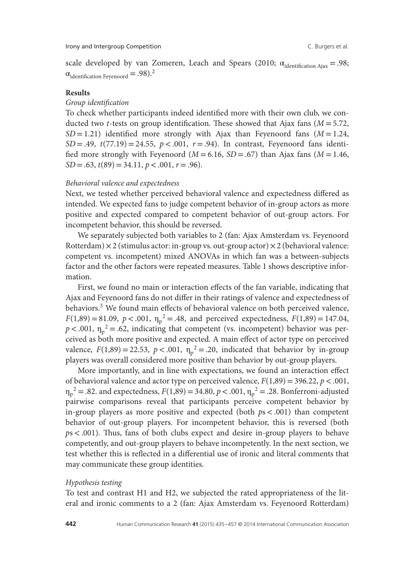scale developed by van Zomeren, Leach and Spears (2010;  $\alpha_{\text{identification Ajax}} = .98$ ;  $\alpha$ <sub>identification Feyenoord</sub> = .98).<sup>2</sup>

#### **Results**

# *Group identification*

To check whether participants indeed identified more with their own club, we conducted two *t*-tests on group identification. These showed that Ajax fans ( $M = 5.72$ ,  $SD = 1.21$ ) identified more strongly with Ajax than Feyenoord fans ( $M = 1.24$ ,  $SD = .49$ ,  $t(77.19) = 24.55$ ,  $p < .001$ ,  $r = .94$ ). In contrast, Feyenoord fans identified more strongly with Feyenoord ( $M = 6.16$ ,  $SD = .67$ ) than Ajax fans ( $M = 1.46$ , *SD* =.63, *t*(89)=34.11, *p<*.001, *r* =.96).

#### *Behavioral valence and expectedness*

Next, we tested whether perceived behavioral valence and expectedness differed as intended. We expected fans to judge competent behavior of in-group actors as more positive and expected compared to competent behavior of out-group actors. For incompetent behavior, this should be reversed.

We separately subjected both variables to 2 (fan: Ajax Amsterdam vs. Feyenoord Rotterdam)  $\times$  2 (stimulus actor: in-group vs. out-group actor)  $\times$  2 (behavioral valence: competent vs. incompetent) mixed ANOVAs in which fan was a between-subjects factor and the other factors were repeated measures. Table 1 shows descriptive information.

First, we found no main or interaction effects of the fan variable, indicating that Ajax and Feyenoord fans do not differ in their ratings of valence and expectedness of behaviors.<sup>3</sup> We found main effects of behavioral valence on both perceived valence,  $F(1,89) = 81.09$ ,  $p < .001$ ,  $\eta_p^2 = .48$ , and perceived expectedness,  $F(1,89) = 147.04$ ,  $p < .001$ ,  $\eta_p^2 = .62$ , indicating that competent (vs. incompetent) behavior was perceived as both more positive and expected. A main effect of actor type on perceived valence,  $F(1,89) = 22.53$ ,  $p < .001$ ,  $\eta_p^2 = .20$ , indicated that behavior by in-group players was overall considered more positive than behavior by out-group players.

More importantly, and in line with expectations, we found an interaction effect of behavioral valence and actor type on perceived valence,  $F(1,89) = 396.22$ ,  $p < .001$ ,  $\eta_p^2 = .82$ . and expectedness,  $F(1,89) = 34.80$ ,  $p < .001$ ,  $\eta_p^2 = .28$ . Bonferroni-adjusted pairwise comparisons reveal that participants perceive competent behavior by in-group players as more positive and expected (both *p*s*<*.001) than competent behavior of out-group players. For incompetent behavior, this is reversed (both *p*s*<*.001). Thus, fans of both clubs expect and desire in-group players to behave competently, and out-group players to behave incompetently. In the next section, we test whether this is reflected in a differential use of ironic and literal comments that may communicate these group identities.

#### *Hypothesis testing*

To test and contrast H1 and H2, we subjected the rated appropriateness of the literal and ironic comments to a 2 (fan: Ajax Amsterdam vs. Feyenoord Rotterdam)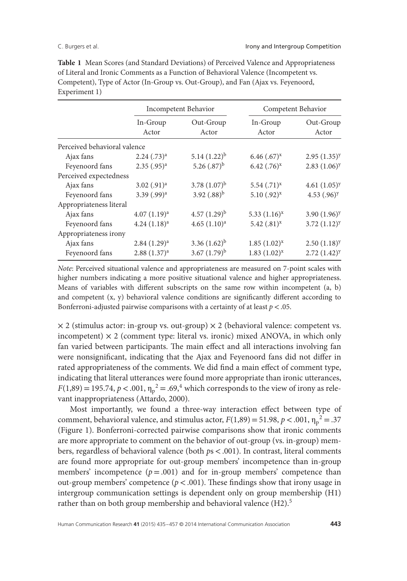|                              |                    | Incompetent Behavior |                    | Competent Behavior         |
|------------------------------|--------------------|----------------------|--------------------|----------------------------|
|                              | In-Group<br>Actor  | Out-Group<br>Actor   | In-Group<br>Actor  | Out-Group<br>Actor         |
| Perceived behavioral valence |                    |                      |                    |                            |
| Ajax fans                    | $2.24$ $(.73)^{a}$ | $5.14(1.22)^{b}$     | $6.46$ $(.67)^{x}$ | $2.95(1.35)^y$             |
| Feyenoord fans               | $2.35$ $(.95)^{a}$ | 5.26 $(.87)^{b}$     | $6.42$ $(.76)^{x}$ | $2.83(1.06)^y$             |
| Perceived expectedness       |                    |                      |                    |                            |
| Ajax fans                    | $3.02$ $(.91)^{a}$ | 3.78 $(1.07)^{b}$    | $5.54$ $(.71)^{x}$ | 4.61 $(1.05)^y$            |
| Feyenoord fans               | 3.39 $(.99)^{a}$   | 3.92 $(.88)^{b}$     | $5.10(.92)^{x}$    | 4.53 $(.96)^y$             |
| Appropriateness literal      |                    |                      |                    |                            |
| Ajax fans                    | $4.07(1.19)^a$     | $4.57(1.29)^{b}$     | $5.33(1.16)^{x}$   | 3.90 $(1.96)$ <sup>y</sup> |
| Feyenoord fans               | $4.24(1.18)^a$     | 4.65 $(1.10)^a$      | 5.42 $(.81)^{x}$   | $3.72(1.12)^y$             |
| Appropriateness irony        |                    |                      |                    |                            |
| Ajax fans                    | $2.84(1.29)^a$     | 3.36 $(1.62)^{b}$    | $1.85(1.02)^{x}$   | $2.50(1.18)^y$             |
| Feyenoord fans               | $2.88(1.37)^{a}$   | 3.67 $(1.79)^{b}$    | $1.83(1.02)^{x}$   | $2.72(1.42)^y$             |

**Table 1** Mean Scores (and Standard Deviations) of Perceived Valence and Appropriateness of Literal and Ironic Comments as a Function of Behavioral Valence (Incompetent vs. Competent), Type of Actor (In-Group vs. Out-Group), and Fan (Ajax vs. Feyenoord, Experiment 1)

*Note*: Perceived situational valence and appropriateness are measured on 7-point scales with higher numbers indicating a more positive situational valence and higher appropriateness. Means of variables with different subscripts on the same row within incompetent (a, b) and competent  $(x, y)$  behavioral valence conditions are significantly different according to Bonferroni-adjusted pairwise comparisons with a certainty of at least *p<*.05.

 $\times$  2 (stimulus actor: in-group vs. out-group)  $\times$  2 (behavioral valence: competent vs. incompetent)  $\times$  2 (comment type: literal vs. ironic) mixed ANOVA, in which only fan varied between participants. The main effect and all interactions involving fan were nonsignificant, indicating that the Ajax and Feyenoord fans did not differ in rated appropriateness of the comments. We did find a main effect of comment type, indicating that literal utterances were found more appropriate than ironic utterances,  $F(1,89) = 195.74, p < .001, \eta_p^2 = .69, ^4$  which corresponds to the view of irony as relevant inappropriateness (Attardo, 2000).

Most importantly, we found a three-way interaction effect between type of comment, behavioral valence, and stimulus actor,  $F(1,89) = 51.98$ ,  $p < .001$ ,  $\eta_p^2 = .37$ (Figure 1). Bonferroni-corrected pairwise comparisons show that ironic comments are more appropriate to comment on the behavior of out-group (vs. in-group) members, regardless of behavioral valence (both *p*s*<*.001). In contrast, literal comments are found more appropriate for out-group members' incompetence than in-group members' incompetence  $(p = .001)$  and for in-group members' competence than out-group members' competence (*p<*.001). These findings show that irony usage in intergroup communication settings is dependent only on group membership (H1) rather than on both group membership and behavioral valence  $(H2)$ .<sup>5</sup>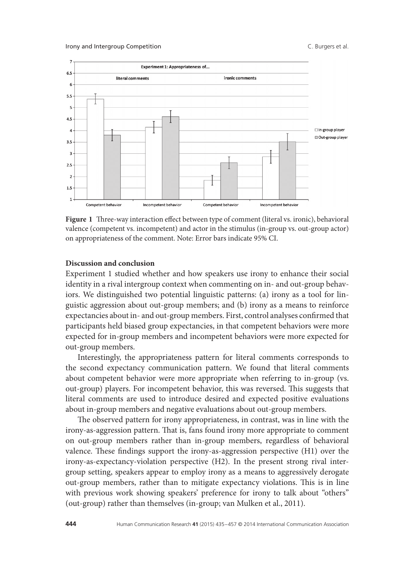

**Figure 1** Three-way interaction effect between type of comment (literal vs. ironic), behavioral valence (competent vs. incompetent) and actor in the stimulus (in-group vs. out-group actor) on appropriateness of the comment. Note: Error bars indicate 95% CI.

### **Discussion and conclusion**

Experiment 1 studied whether and how speakers use irony to enhance their social identity in a rival intergroup context when commenting on in- and out-group behaviors. We distinguished two potential linguistic patterns: (a) irony as a tool for linguistic aggression about out-group members; and (b) irony as a means to reinforce expectancies about in- and out-group members. First, control analyses confirmed that participants held biased group expectancies, in that competent behaviors were more expected for in-group members and incompetent behaviors were more expected for out-group members.

Interestingly, the appropriateness pattern for literal comments corresponds to the second expectancy communication pattern. We found that literal comments about competent behavior were more appropriate when referring to in-group (vs. out-group) players. For incompetent behavior, this was reversed. This suggests that literal comments are used to introduce desired and expected positive evaluations about in-group members and negative evaluations about out-group members.

The observed pattern for irony appropriateness, in contrast, was in line with the irony-as-aggression pattern. That is, fans found irony more appropriate to comment on out-group members rather than in-group members, regardless of behavioral valence. These findings support the irony-as-aggression perspective (H1) over the irony-as-expectancy-violation perspective (H2). In the present strong rival intergroup setting, speakers appear to employ irony as a means to aggressively derogate out-group members, rather than to mitigate expectancy violations. This is in line with previous work showing speakers' preference for irony to talk about "others" (out-group) rather than themselves (in-group; van Mulken et al., 2011).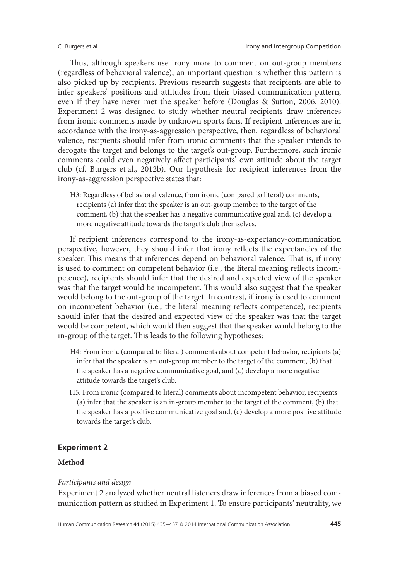Thus, although speakers use irony more to comment on out-group members (regardless of behavioral valence), an important question is whether this pattern is also picked up by recipients. Previous research suggests that recipients are able to infer speakers' positions and attitudes from their biased communication pattern, even if they have never met the speaker before (Douglas & Sutton, 2006, 2010). Experiment 2 was designed to study whether neutral recipients draw inferences from ironic comments made by unknown sports fans. If recipient inferences are in accordance with the irony-as-aggression perspective, then, regardless of behavioral valence, recipients should infer from ironic comments that the speaker intends to derogate the target and belongs to the target's out-group. Furthermore, such ironic comments could even negatively affect participants' own attitude about the target club (cf. Burgers et al., 2012b). Our hypothesis for recipient inferences from the irony-as-aggression perspective states that:

H3: Regardless of behavioral valence, from ironic (compared to literal) comments, recipients (a) infer that the speaker is an out-group member to the target of the comment, (b) that the speaker has a negative communicative goal and, (c) develop a more negative attitude towards the target's club themselves.

If recipient inferences correspond to the irony-as-expectancy-communication perspective, however, they should infer that irony reflects the expectancies of the speaker. This means that inferences depend on behavioral valence. That is, if irony is used to comment on competent behavior (i.e., the literal meaning reflects incompetence), recipients should infer that the desired and expected view of the speaker was that the target would be incompetent. This would also suggest that the speaker would belong to the out-group of the target. In contrast, if irony is used to comment on incompetent behavior (i.e., the literal meaning reflects competence), recipients should infer that the desired and expected view of the speaker was that the target would be competent, which would then suggest that the speaker would belong to the in-group of the target. This leads to the following hypotheses:

- H4: From ironic (compared to literal) comments about competent behavior, recipients (a) infer that the speaker is an out-group member to the target of the comment, (b) that the speaker has a negative communicative goal, and (c) develop a more negative attitude towards the target's club.
- H5: From ironic (compared to literal) comments about incompetent behavior, recipients (a) infer that the speaker is an in-group member to the target of the comment, (b) that the speaker has a positive communicative goal and, (c) develop a more positive attitude towards the target's club.

# **Experiment 2**

# **Method**

#### *Participants and design*

Experiment 2 analyzed whether neutral listeners draw inferences from a biased communication pattern as studied in Experiment 1. To ensure participants' neutrality, we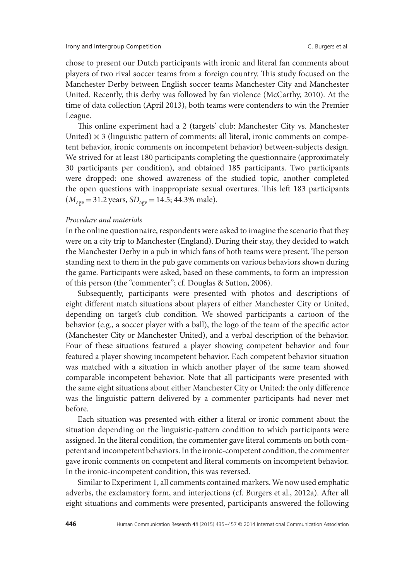chose to present our Dutch participants with ironic and literal fan comments about players of two rival soccer teams from a foreign country. This study focused on the Manchester Derby between English soccer teams Manchester City and Manchester United. Recently, this derby was followed by fan violence (McCarthy, 2010). At the time of data collection (April 2013), both teams were contenders to win the Premier League.

This online experiment had a 2 (targets' club: Manchester City vs. Manchester United)  $\times$  3 (linguistic pattern of comments: all literal, ironic comments on competent behavior, ironic comments on incompetent behavior) between-subjects design. We strived for at least 180 participants completing the questionnaire (approximately 30 participants per condition), and obtained 185 participants. Two participants were dropped: one showed awareness of the studied topic, another completed the open questions with inappropriate sexual overtures. This left 183 participants  $(M<sub>age</sub> = 31.2 \text{ years}, SD<sub>age</sub> = 14.5; 44.3\% \text{ male}).$ 

# *Procedure and materials*

In the online questionnaire, respondents were asked to imagine the scenario that they were on a city trip to Manchester (England). During their stay, they decided to watch the Manchester Derby in a pub in which fans of both teams were present. The person standing next to them in the pub gave comments on various behaviors shown during the game. Participants were asked, based on these comments, to form an impression of this person (the "commenter"; cf. Douglas & Sutton, 2006).

Subsequently, participants were presented with photos and descriptions of eight different match situations about players of either Manchester City or United, depending on target's club condition. We showed participants a cartoon of the behavior (e.g., a soccer player with a ball), the logo of the team of the specific actor (Manchester City or Manchester United), and a verbal description of the behavior. Four of these situations featured a player showing competent behavior and four featured a player showing incompetent behavior. Each competent behavior situation was matched with a situation in which another player of the same team showed comparable incompetent behavior. Note that all participants were presented with the same eight situations about either Manchester City or United: the only difference was the linguistic pattern delivered by a commenter participants had never met before.

Each situation was presented with either a literal or ironic comment about the situation depending on the linguistic-pattern condition to which participants were assigned. In the literal condition, the commenter gave literal comments on both competent and incompetent behaviors. In the ironic-competent condition, the commenter gave ironic comments on competent and literal comments on incompetent behavior. In the ironic-incompetent condition, this was reversed.

Similar to Experiment 1, all comments contained markers. We now used emphatic adverbs, the exclamatory form, and interjections (cf. Burgers et al., 2012a). After all eight situations and comments were presented, participants answered the following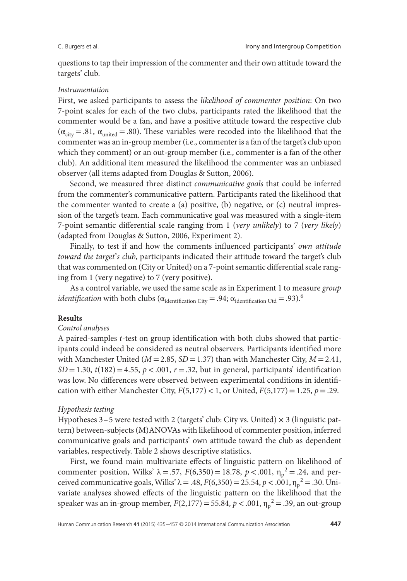questions to tap their impression of the commenter and their own attitude toward the targets' club.

#### *Instrumentation*

First, we asked participants to assess the *likelihood of commenter position*: On two 7-point scales for each of the two clubs, participants rated the likelihood that the commenter would be a fan, and have a positive attitude toward the respective club  $(\alpha_{\text{city}} = .81, \alpha_{\text{united}} = .80)$ . These variables were recoded into the likelihood that the commenter was an in-group member (i.e., commenter is a fan of the target's club upon which they comment) or an out-group member (i.e., commenter is a fan of the other club). An additional item measured the likelihood the commenter was an unbiased observer (all items adapted from Douglas & Sutton, 2006).

Second, we measured three distinct *communicative goals* that could be inferred from the commenter's communicative pattern. Participants rated the likelihood that the commenter wanted to create a  $(a)$  positive,  $(b)$  negative, or  $(c)$  neutral impression of the target's team. Each communicative goal was measured with a single-item 7-point semantic differential scale ranging from 1 (*very unlikely*) to 7 (*very likely*) (adapted from Douglas & Sutton, 2006, Experiment 2).

Finally, to test if and how the comments influenced participants' *own attitude toward the target*'*s club*, participants indicated their attitude toward the target's club that was commented on (City or United) on a 7-point semantic differential scale ranging from 1 (very negative) to 7 (very positive).

As a control variable, we used the same scale as in Experiment 1 to measure *group identification* with both clubs ( $\alpha_{\text{identification City}} = .94$ ;  $\alpha_{\text{identification Utd}} = .93$ ).<sup>6</sup>

# **Results**

### *Control analyses*

A paired-samples *t*-test on group identification with both clubs showed that participants could indeed be considered as neutral observers. Participants identified more with Manchester United ( $M = 2.85$ ,  $SD = 1.37$ ) than with Manchester City,  $M = 2.41$ ,  $SD = 1.30$ ,  $t(182) = 4.55$ ,  $p < .001$ ,  $r = .32$ , but in general, participants' identification was low. No differences were observed between experimental conditions in identification with either Manchester City,  $F(5,177) < 1$ , or United,  $F(5,177) = 1.25$ ,  $p = .29$ .

#### *Hypothesis testing*

Hypotheses  $3-5$  were tested with 2 (targets' club: City vs. United)  $\times$  3 (linguistic pattern) between-subjects (M)ANOVAs with likelihood of commenter position, inferred communicative goals and participants' own attitude toward the club as dependent variables, respectively. Table 2 shows descriptive statistics.

First, we found main multivariate effects of linguistic pattern on likelihood of commenter position, Wilks'  $\lambda = .57$ ,  $F(6,350) = 18.78$ ,  $p < .001$ ,  $\eta_p^2 = .24$ , and perceived communicative goals, Wilks' λ = .48,  $F(6,350) = 25.54, p < .001, \eta_p^2 = .30$ . Univariate analyses showed effects of the linguistic pattern on the likelihood that the speaker was an in-group member,  $F(2,177) = 55.84$ ,  $p < .001$ ,  $\eta_p^2 = .39$ , an out-group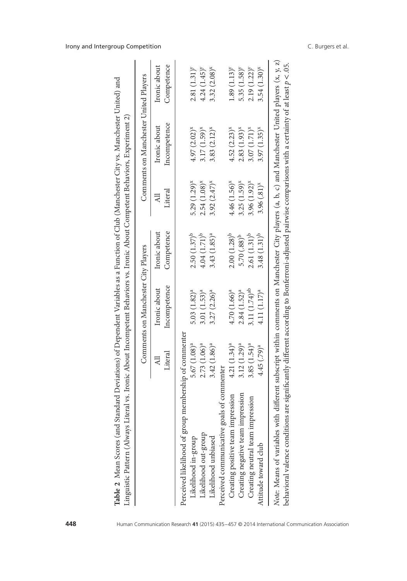| í<br>i             |                                                                    |
|--------------------|--------------------------------------------------------------------|
|                    | ć<br>J                                                             |
| י<br>ו             | $\frac{1}{4}$<br>i                                                 |
| $-7772$            |                                                                    |
| ֖֚֞֘<br>Ò          | ֧֦֦֧֧֧֧֧֧֧֦֧֦֧֚֚֚֚֚֚֚֚֚֚֚֚֚֚֚֚֚֚֚֚֚֚֚֚֚֚֝֝֝֓֝֓֝֓֝֓֓֟֓֓֞֟֓֡<br>2777 |
|                    | I<br>ׇ֦֦֦֦֧֡֬֝֝֬֝֝֝֬֝֓֓֝֬֝֓֓֕֓֝֬֝֓֓֝֬֝֓֓֝֬֝֓֝֓֝֬֝֓֝                |
|                    |                                                                    |
|                    | $\sim$                                                             |
| a Eunation of      | women N                                                            |
| I<br>l             | ۔<br>ء                                                             |
|                    |                                                                    |
| $200$ N/Avan $200$ |                                                                    |
| $\mathfrak{c}$     |                                                                    |
|                    | i                                                                  |
|                    |                                                                    |
|                    | $\frac{1}{2}$                                                      |
|                    |                                                                    |
| j<br>¢<br>į<br>;   | - C = C = C = C = C = C<br>$\frac{1}{2}$<br>ı                      |
|                    | $\frac{1}{2}$                                                      |
|                    | ׇ֦֖֖֖֖֖֖֖֖֪֚֚֚֚֚֚֚֚֚֚֚֚֚֝֝֓ <b>֓</b>                               |
|                    | <br>ļ                                                              |

|                                                       |                         | Comments on Manchester City Players |                            |                          | Comments on Manchester United Players |                            |
|-------------------------------------------------------|-------------------------|-------------------------------------|----------------------------|--------------------------|---------------------------------------|----------------------------|
|                                                       | Literal<br>₹            | Incompetence<br>Ironic about        | Competence<br>Ironic about | Literal<br>₹             | Incompetence<br>Ironic about          | Competence<br>Ironic about |
| Perceived likelihood of group membership of commenter |                         |                                     |                            |                          |                                       |                            |
| Likelihood in-group                                   | 5.67(1.08) <sup>a</sup> | $5.03(1.82)^a$                      | $2.50(1.37)^b$             | $5.29(1.29)^{x}$         | $4.97(2.02)^{x}$                      | $2.81(1.31)^{y}$           |
| Likelihood out-group                                  | $2.73(1.06)^a$          | 3.01(1.53) <sup>a</sup>             | $4.04(1.71)^{b}$           | $2.54(1.08)^{x}$         | $3.17(1.59)^{x}$                      | $4.24(1.45)^{y}$           |
| Likelihood unbiased                                   | $3.42(1.86)^a$          | $3.27(2.26)^a$                      | $3.43(1.85)^a$             | $3.92(2.47)^{x}$         | $3.83(2.12)^{x}$                      | $3.32(2.08)^{x}$           |
| Perceived communicative goals of commenter            |                         |                                     |                            |                          |                                       |                            |
| Creating positive team impression                     | $4.21(1.34)^a$          | $4.70(1.66)^a$                      | $2.00(1.28)^{b}$           | 4.46 (1.56) <sup>x</sup> | $4.52(2.23)^{x}$                      | $1.89(1.13)^{y}$           |
| Creating negative team impression                     | $3.12(1.29)^a$          | $2.84(1.52)^a$                      | $5.70(.88)^{b}$            | $3.25(1.59)^{x}$         | $2.83(1.93)^{x}$                      | $5.35(1.58)^{y}$           |
| Creating neutral team impression                      | $3.85(1.54)^a$          | 3.11 $(1.74)$ <sup>ab</sup>         | $2.61(1.31)^b$             | $3.96(1.92)^{x}$         | $3.07(1.71)^{x}$                      | 2.19 (1.22) <sup>y</sup>   |
| Attitude toward club                                  | 4.45 (.79) <sup>a</sup> | 4.11(1.17) <sup>a</sup>             | $3.48(1.31)^b$             | $3.96(.81)^{x}$          | $3.97(1.35)^{x}$                      | $3.54(1.30)^{x}$           |

# Irony and Intergroup Competition **C.** Burgers et al.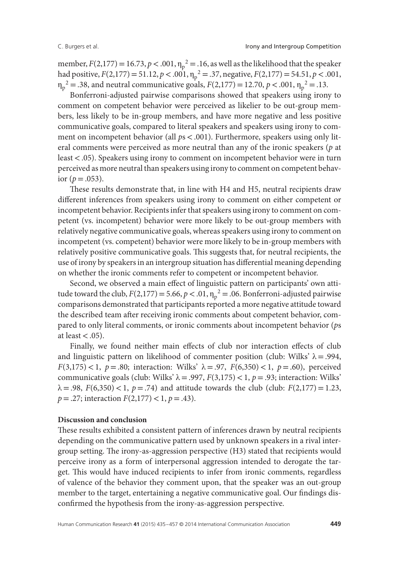member,  $F(2,177) = 16.73$ ,  $p < .001$ ,  $\eta_p^2 = .16$ , as well as the likelihood that the speaker had positive,  $F(2,177) = 51.12$ ,  $p < .001$ ,  $\eta_p^2 = .37$ , negative,  $F(2,177) = 54.51$ ,  $p < .001$ ,  $\eta_p^2 = .38$ , and neutral communicative goals,  $F(2,177) = 12.70$ ,  $p < .001$ ,  $\eta_p^2 = .13$ .

Bonferroni-adjusted pairwise comparisons showed that speakers using irony to comment on competent behavior were perceived as likelier to be out-group members, less likely to be in-group members, and have more negative and less positive communicative goals, compared to literal speakers and speakers using irony to comment on incompetent behavior (all *p*s*<*.001). Furthermore, speakers using only literal comments were perceived as more neutral than any of the ironic speakers (*p* at least*<*.05). Speakers using irony to comment on incompetent behavior were in turn perceived as more neutral than speakers using irony to comment on competent behavior ( $p = .053$ ).

These results demonstrate that, in line with H4 and H5, neutral recipients draw different inferences from speakers using irony to comment on either competent or incompetent behavior. Recipients infer that speakers using irony to comment on competent (vs. incompetent) behavior were more likely to be out-group members with relatively negative communicative goals, whereas speakers using irony to comment on incompetent (vs. competent) behavior were more likely to be in-group members with relatively positive communicative goals. This suggests that, for neutral recipients, the use of irony by speakers in an intergroup situation has differential meaning depending on whether the ironic comments refer to competent or incompetent behavior.

Second, we observed a main effect of linguistic pattern on participants' own attitude toward the club,  $F(2,177) = 5.66$ ,  $p < .01$ ,  $\eta_p^2 = .06$ . Bonferroni-adjusted pairwise comparisons demonstrated that participants reported a more negative attitude toward the described team after receiving ironic comments about competent behavior, compared to only literal comments, or ironic comments about incompetent behavior (*p*s at least*<*.05).

Finally, we found neither main effects of club nor interaction effects of club and linguistic pattern on likelihood of commenter position (club: Wilks'  $\lambda = .994$ , *F*(3,175) < 1,  $p = .80$ ; interaction: Wilks'  $\lambda = .97$ ,  $F(6,350)$  < 1,  $p = .60$ ), perceived communicative goals (club: Wilks' λ =.997, *F*(3,175)*<*1, *p*=.93; interaction: Wilks'  $\lambda = .98$ ,  $F(6,350) < 1$ ,  $p = .74$ ) and attitude towards the club (club:  $F(2,177) = 1.23$ , *p*=.27; interaction *F*(2,177)*<*1, *p*=.43).

#### **Discussion and conclusion**

These results exhibited a consistent pattern of inferences drawn by neutral recipients depending on the communicative pattern used by unknown speakers in a rival intergroup setting. The irony-as-aggression perspective (H3) stated that recipients would perceive irony as a form of interpersonal aggression intended to derogate the target. This would have induced recipients to infer from ironic comments, regardless of valence of the behavior they comment upon, that the speaker was an out-group member to the target, entertaining a negative communicative goal. Our findings disconfirmed the hypothesis from the irony-as-aggression perspective.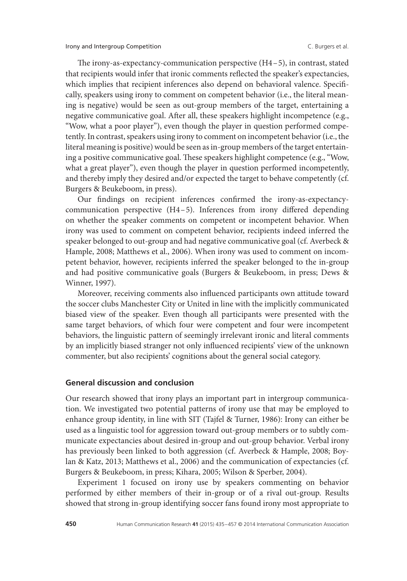The irony-as-expectancy-communication perspective (H4–5), in contrast, stated that recipients would infer that ironic comments reflected the speaker's expectancies, which implies that recipient inferences also depend on behavioral valence. Specifically, speakers using irony to comment on competent behavior (i.e., the literal meaning is negative) would be seen as out-group members of the target, entertaining a negative communicative goal. After all, these speakers highlight incompetence (e.g., "Wow, what a poor player"), even though the player in question performed competently. In contrast, speakers using irony to comment on incompetent behavior (i.e., the literal meaning is positive) would be seen as in-group members of the target entertaining a positive communicative goal. These speakers highlight competence (e.g., "Wow, what a great player"), even though the player in question performed incompetently, and thereby imply they desired and/or expected the target to behave competently (cf. Burgers & Beukeboom, in press).

Our findings on recipient inferences confirmed the irony-as-expectancycommunication perspective (H4–5). Inferences from irony differed depending on whether the speaker comments on competent or incompetent behavior. When irony was used to comment on competent behavior, recipients indeed inferred the speaker belonged to out-group and had negative communicative goal (cf. Averbeck & Hample, 2008; Matthews et al., 2006). When irony was used to comment on incompetent behavior, however, recipients inferred the speaker belonged to the in-group and had positive communicative goals (Burgers & Beukeboom, in press; Dews & Winner, 1997).

Moreover, receiving comments also influenced participants own attitude toward the soccer clubs Manchester City or United in line with the implicitly communicated biased view of the speaker. Even though all participants were presented with the same target behaviors, of which four were competent and four were incompetent behaviors, the linguistic pattern of seemingly irrelevant ironic and literal comments by an implicitly biased stranger not only influenced recipients' view of the unknown commenter, but also recipients' cognitions about the general social category.

# **General discussion and conclusion**

Our research showed that irony plays an important part in intergroup communication. We investigated two potential patterns of irony use that may be employed to enhance group identity, in line with SIT (Tajfel & Turner, 1986): Irony can either be used as a linguistic tool for aggression toward out-group members or to subtly communicate expectancies about desired in-group and out-group behavior. Verbal irony has previously been linked to both aggression (cf. Averbeck & Hample, 2008; Boylan & Katz, 2013; Matthews et al., 2006) and the communication of expectancies (cf. Burgers & Beukeboom, in press; Kihara, 2005; Wilson & Sperber, 2004).

Experiment 1 focused on irony use by speakers commenting on behavior performed by either members of their in-group or of a rival out-group. Results showed that strong in-group identifying soccer fans found irony most appropriate to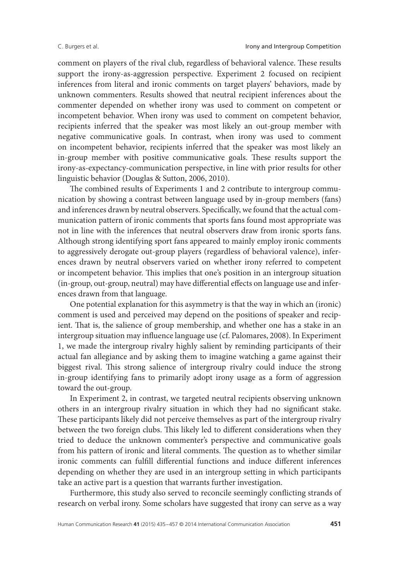comment on players of the rival club, regardless of behavioral valence. These results support the irony-as-aggression perspective. Experiment 2 focused on recipient inferences from literal and ironic comments on target players' behaviors, made by unknown commenters. Results showed that neutral recipient inferences about the commenter depended on whether irony was used to comment on competent or incompetent behavior. When irony was used to comment on competent behavior, recipients inferred that the speaker was most likely an out-group member with negative communicative goals. In contrast, when irony was used to comment on incompetent behavior, recipients inferred that the speaker was most likely an in-group member with positive communicative goals. These results support the irony-as-expectancy-communication perspective, in line with prior results for other linguistic behavior (Douglas & Sutton, 2006, 2010).

The combined results of Experiments 1 and 2 contribute to intergroup communication by showing a contrast between language used by in-group members (fans) and inferences drawn by neutral observers. Specifically, we found that the actual communication pattern of ironic comments that sports fans found most appropriate was not in line with the inferences that neutral observers draw from ironic sports fans. Although strong identifying sport fans appeared to mainly employ ironic comments to aggressively derogate out-group players (regardless of behavioral valence), inferences drawn by neutral observers varied on whether irony referred to competent or incompetent behavior. This implies that one's position in an intergroup situation (in-group, out-group, neutral) may have differential effects on language use and inferences drawn from that language.

One potential explanation for this asymmetry is that the way in which an (ironic) comment is used and perceived may depend on the positions of speaker and recipient. That is, the salience of group membership, and whether one has a stake in an intergroup situation may influence language use (cf. Palomares, 2008). In Experiment 1, we made the intergroup rivalry highly salient by reminding participants of their actual fan allegiance and by asking them to imagine watching a game against their biggest rival. This strong salience of intergroup rivalry could induce the strong in-group identifying fans to primarily adopt irony usage as a form of aggression toward the out-group.

In Experiment 2, in contrast, we targeted neutral recipients observing unknown others in an intergroup rivalry situation in which they had no significant stake. These participants likely did not perceive themselves as part of the intergroup rivalry between the two foreign clubs. This likely led to different considerations when they tried to deduce the unknown commenter's perspective and communicative goals from his pattern of ironic and literal comments. The question as to whether similar ironic comments can fulfill differential functions and induce different inferences depending on whether they are used in an intergroup setting in which participants take an active part is a question that warrants further investigation.

Furthermore, this study also served to reconcile seemingly conflicting strands of research on verbal irony. Some scholars have suggested that irony can serve as a way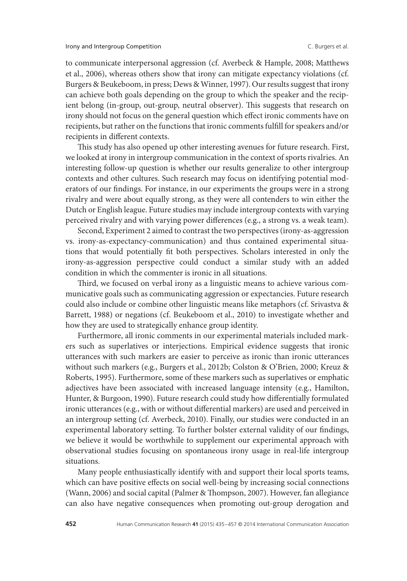to communicate interpersonal aggression (cf. Averbeck & Hample, 2008; Matthews et al., 2006), whereas others show that irony can mitigate expectancy violations (cf. Burgers & Beukeboom, in press; Dews & Winner, 1997). Our results suggest that irony can achieve both goals depending on the group to which the speaker and the recipient belong (in-group, out-group, neutral observer). This suggests that research on irony should not focus on the general question which effect ironic comments have on recipients, but rather on the functions that ironic comments fulfill for speakers and/or recipients in different contexts.

This study has also opened up other interesting avenues for future research. First, we looked at irony in intergroup communication in the context of sports rivalries. An interesting follow-up question is whether our results generalize to other intergroup contexts and other cultures. Such research may focus on identifying potential moderators of our findings. For instance, in our experiments the groups were in a strong rivalry and were about equally strong, as they were all contenders to win either the Dutch or English league. Future studies may include intergroup contexts with varying perceived rivalry and with varying power differences (e.g., a strong vs. a weak team).

Second, Experiment 2 aimed to contrast the two perspectives (irony-as-aggression vs. irony-as-expectancy-communication) and thus contained experimental situations that would potentially fit both perspectives. Scholars interested in only the irony-as-aggression perspective could conduct a similar study with an added condition in which the commenter is ironic in all situations.

Third, we focused on verbal irony as a linguistic means to achieve various communicative goals such as communicating aggression or expectancies. Future research could also include or combine other linguistic means like metaphors (cf. Srivastva & Barrett, 1988) or negations (cf. Beukeboom et al., 2010) to investigate whether and how they are used to strategically enhance group identity.

Furthermore, all ironic comments in our experimental materials included markers such as superlatives or interjections. Empirical evidence suggests that ironic utterances with such markers are easier to perceive as ironic than ironic utterances without such markers (e.g., Burgers et al., 2012b; Colston & O'Brien, 2000; Kreuz & Roberts, 1995). Furthermore, some of these markers such as superlatives or emphatic adjectives have been associated with increased language intensity (e.g., Hamilton, Hunter, & Burgoon, 1990). Future research could study how differentially formulated ironic utterances (e.g., with or without differential markers) are used and perceived in an intergroup setting (cf. Averbeck, 2010). Finally, our studies were conducted in an experimental laboratory setting. To further bolster external validity of our findings, we believe it would be worthwhile to supplement our experimental approach with observational studies focusing on spontaneous irony usage in real-life intergroup situations.

Many people enthusiastically identify with and support their local sports teams, which can have positive effects on social well-being by increasing social connections (Wann, 2006) and social capital (Palmer & Thompson, 2007). However, fan allegiance can also have negative consequences when promoting out-group derogation and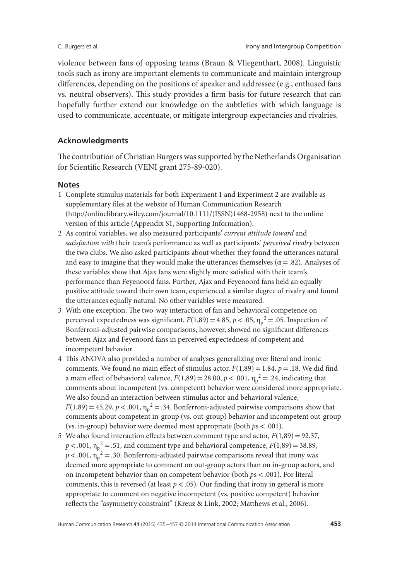violence between fans of opposing teams (Braun & Vliegenthart, 2008). Linguistic tools such as irony are important elements to communicate and maintain intergroup differences, depending on the positions of speaker and addressee (e.g., enthused fans vs. neutral observers). This study provides a firm basis for future research that can hopefully further extend our knowledge on the subtleties with which language is used to communicate, accentuate, or mitigate intergroup expectancies and rivalries.

# **Acknowledgments**

The contribution of Christian Burgers was supported by the Netherlands Organisation for Scientific Research (VENI grant 275-89-020).

# **Notes**

- 1 Complete stimulus materials for both Experiment 1 and Experiment 2 are available as supplementary files at the website of Human Communication Research (http://onlinelibrary.wiley.com/journal/10.1111/(ISSN)1468-2958) next to the online version of this article (Appendix S1, Supporting Information).
- 2 As control variables, we also measured participants' *current attitude toward* and *satisfaction with* their team's performance as well as participants' *perceived rivalry* between the two clubs. We also asked participants about whether they found the utterances natural and easy to imagine that they would make the utterances themselves ( $\alpha$  = .82). Analyses of these variables show that Ajax fans were slightly more satisfied with their team's performance than Feyenoord fans. Further, Ajax and Feyenoord fans held an equally positive attitude toward their own team, experienced a similar degree of rivalry and found the utterances equally natural. No other variables were measured.
- 3 With one exception: The two-way interaction of fan and behavioral competence on perceived expectedness was significant,  $F(1,89) = 4.85$ ,  $p < .05$ ,  $\eta_p^2 = .05$ . Inspection of Bonferroni-adjusted pairwise comparisons, however, showed no significant differences between Ajax and Feyenoord fans in perceived expectedness of competent and incompetent behavior.
- 4 This ANOVA also provided a number of analyses generalizing over literal and ironic comments. We found no main effect of stimulus actor,  $F(1,89) = 1.84$ ,  $p = .18$ . We did find a main effect of behavioral valence,  $F(1,89) = 28.00$ ,  $p < .001$ ,  $\eta_p^2 = .24$ , indicating that comments about incompetent (vs. competent) behavior were considered more appropriate. We also found an interaction between stimulus actor and behavioral valence,  $F(1,89) = 45.29, p < .001, \eta_p^2 = .34.$  Bonferroni-adjusted pairwise comparisons show that comments about competent in-group (vs. out-group) behavior and incompetent out-group (vs. in-group) behavior were deemed most appropriate (both *p*s*<*.001).
- 5 We also found interaction effects between comment type and actor, *F*(1,89)=92.37,  $p < .001$ ,  $\eta_p^2 = .51$ , and comment type and behavioral competence,  $F(1,89) = 38.89$ ,  $p$  < .001,  $\eta_p^2$  = .30. Bonferroni-adjusted pairwise comparisons reveal that irony was deemed more appropriate to comment on out-group actors than on in-group actors, and on incompetent behavior than on competent behavior (both *p*s*<*.001). For literal comments, this is reversed (at least  $p < .05$ ). Our finding that irony in general is more appropriate to comment on negative incompetent (vs. positive competent) behavior reflects the "asymmetry constraint" (Kreuz & Link, 2002; Matthews et al., 2006).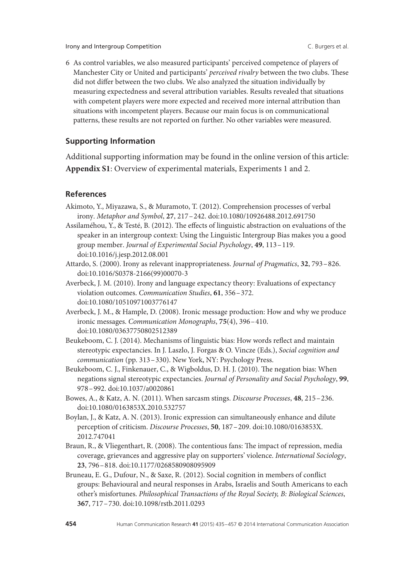Irony and Intergroup Competition C. Burgers et al.

6 As control variables, we also measured participants' perceived competence of players of Manchester City or United and participants' *perceived rivalry* between the two clubs. These did not differ between the two clubs. We also analyzed the situation individually by measuring expectedness and several attribution variables. Results revealed that situations with competent players were more expected and received more internal attribution than situations with incompetent players. Because our main focus is on communicational patterns, these results are not reported on further. No other variables were measured.

# **Supporting Information**

Additional supporting information may be found in the online version of this article: **Appendix S1**: Overview of experimental materials, Experiments 1 and 2.

# **References**

- Akimoto, Y., Miyazawa, S., & Muramoto, T. (2012). Comprehension processes of verbal irony. *Metaphor and Symbol*, **27**, 217–242. doi:10.1080/10926488.2012.691750
- Assilaméhou, Y., & Testé, B. (2012). The effects of linguistic abstraction on evaluations of the speaker in an intergroup context: Using the Linguistic Intergroup Bias makes you a good group member. *Journal of Experimental Social Psychology*, **49**, 113–119. doi:10.1016/j.jesp.2012.08.001
- Attardo, S. (2000). Irony as relevant inappropriateness. *Journal of Pragmatics*, **32**, 793–826. doi:10.1016/S0378-2166(99)00070-3
- Averbeck, J. M. (2010). Irony and language expectancy theory: Evaluations of expectancy violation outcomes. *Communication Studies*, **61**, 356–372. doi:10.1080/10510971003776147
- Averbeck, J. M., & Hample, D. (2008). Ironic message production: How and why we produce ironic messages. *Communication Monographs*, **75**(4), 396–410. doi:10.1080/03637750802512389
- Beukeboom, C. J. (2014). Mechanisms of linguistic bias: How words reflect and maintain stereotypic expectancies. In J. Laszlo, J. Forgas & O. Vincze (Eds.), *Social cognition and communication* (pp. 313–330). New York, NY: Psychology Press.
- Beukeboom, C. J., Finkenauer, C., & Wigboldus, D. H. J. (2010). The negation bias: When negations signal stereotypic expectancies. *Journal of Personality and Social Psychology*, **99**, 978–992. doi:10.1037/a0020861
- Bowes, A., & Katz, A. N. (2011). When sarcasm stings. *Discourse Processes*, **48**, 215–236. doi:10.1080/0163853X.2010.532757
- Boylan, J., & Katz, A. N. (2013). Ironic expression can simultaneously enhance and dilute perception of criticism. *Discourse Processes*, **50**, 187–209. doi:10.1080/0163853X. 2012.747041
- Braun, R., & Vliegenthart, R. (2008). The contentious fans: The impact of repression, media coverage, grievances and aggressive play on supporters' violence. *International Sociology*, **23**, 796–818. doi:10.1177/0268580908095909
- Bruneau, E. G., Dufour, N., & Saxe, R. (2012). Social cognition in members of conflict groups: Behavioural and neural responses in Arabs, Israelis and South Americans to each other's misfortunes. *Philosophical Transactions of the Royal Society, B: Biological Sciences*, **367**, 717–730. doi:10.1098/rstb.2011.0293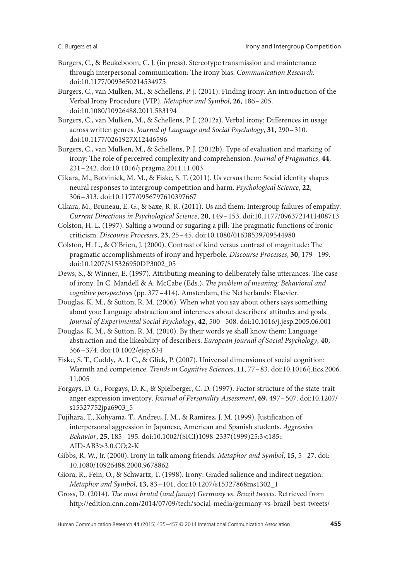- Burgers, C., & Beukeboom, C. J. (in press). Stereotype transmission and maintenance through interpersonal communication: The irony bias. *Communication Research*. doi:10.1177/0093650214534975
- Burgers, C., van Mulken, M., & Schellens, P. J. (2011). Finding irony: An introduction of the Verbal Irony Procedure (VIP). *Metaphor and Symbol*, **26**, 186–205. doi:10.1080/10926488.2011.583194
- Burgers, C., van Mulken, M., & Schellens, P. J. (2012a). Verbal irony: Differences in usage across written genres. *Journal of Language and Social Psychology*, **31**, 290–310. doi:10.1177/0261927X12446596
- Burgers, C., van Mulken, M., & Schellens, P. J. (2012b). Type of evaluation and marking of irony: The role of perceived complexity and comprehension. *Journal of Pragmatics*, **44**, 231–242. doi:10.1016/j.pragma.2011.11.003
- Cikara, M., Botvinick, M. M., & Fiske, S. T. (2011). Us versus them: Social identity shapes neural responses to intergroup competition and harm. *Psychological Science*, **22**, 306–313. doi:10.1177/0956797610397667
- Cikara, M., Bruneau, E. G., & Saxe, R. R. (2011). Us and them: Intergroup failures of empathy. *Current Directions in Psychological Science*, **20**, 149–153. doi:10.1177/0963721411408713
- Colston, H. L. (1997). Salting a wound or sugaring a pill: The pragmatic functions of ironic criticism. *Discourse Processes*, **23**, 25–45. doi:10.1080/01638539709544980
- Colston, H. L., & O'Brien, J. (2000). Contrast of kind versus contrast of magnitude: The pragmatic accomplishments of irony and hyperbole. *Discourse Processes*, **30**, 179–199. doi:10.1207/S15326950DP3002\_05
- Dews, S., & Winner, E. (1997). Attributing meaning to deliberately false utterances: The case of irony. In C. Mandell & A. McCabe (Eds.), *The problem of meaning: Behavioral and cognitive perspectives* (pp. 377–414). Amsterdam, the Netherlands: Elsevier.
- Douglas, K. M., & Sutton, R. M. (2006). When what you say about others says something about you: Language abstraction and inferences about describers' attitudes and goals. *Journal of Experimental Social Psychology*, **42**, 500–508. doi:10.1016/j.jesp.2005.06.001
- Douglas, K. M., & Sutton, R. M. (2010). By their words ye shall know them: Language abstraction and the likeability of describers. *European Journal of Social Psychology*, **40**, 366–374. doi:10.1002/ejsp.634
- Fiske, S. T., Cuddy, A. J. C., & Glick, P. (2007). Universal dimensions of social cognition: Warmth and competence. *Trends in Cognitive Sciences*, **11**, 77–83. doi:10.1016/j.tics.2006. 11.005
- Forgays, D. G., Forgays, D. K., & Spielberger, C. D. (1997). Factor structure of the state-trait anger expression inventory. *Journal of Personality Assessment*, **69**, 497–507. doi:10.1207/ s15327752jpa6903\_5
- Fujihara, T., Kohyama, T., Andreu, J. M., & Ramirez, J. M. (1999). Justification of interpersonal aggression in Japanese, American and Spanish students. *Aggressive Behavior*, **25**, 185–195. doi:10.1002/(SICI)1098-2337(1999)25:3*<*185:: AID-AB3*>*3.0.CO;2-K
- Gibbs, R. W., Jr. (2000). Irony in talk among friends. *Metaphor and Symbol*, **15**, 5–27. doi: 10.1080/10926488.2000.9678862
- Giora, R., Fein, O., & Schwartz, T. (1998). Irony: Graded salience and indirect negation. *Metaphor and Symbol*, **13**, 83–101. doi:10.1207/s15327868ms1302\_1
- Gross, D. (2014). *The most brutal* (*and funny*) *Germany vs*. *Brazil tweets*. Retrieved from http://edition.cnn.com/2014/07/09/tech/social-media/germany-vs-brazil-best-tweets/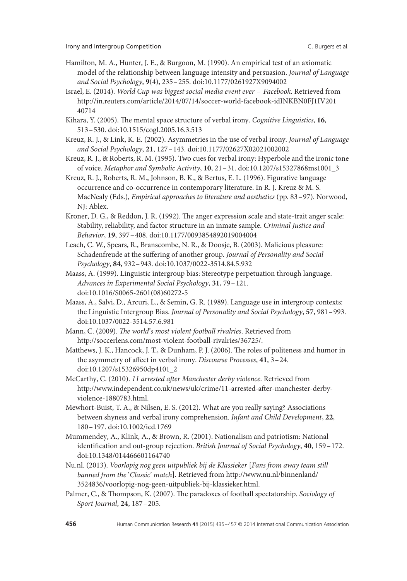- Hamilton, M. A., Hunter, J. E., & Burgoon, M. (1990). An empirical test of an axiomatic model of the relationship between language intensity and persuasion. *Journal of Language and Social Psychology*, **9**(4), 235–255. doi:10.1177/0261927X9094002
- Israel, E. (2014). *World Cup was biggest social media event ever Facebook*. Retrieved from http://in.reuters.com/article/2014/07/14/soccer-world-facebook-idINKBN0FJ1IV201 40714
- Kihara, Y. (2005). The mental space structure of verbal irony. *Cognitive Linguistics*, **16**, 513–530. doi:10.1515/cogl.2005.16.3.513
- Kreuz, R. J., & Link, K. E. (2002). Asymmetries in the use of verbal irony. *Journal of Language and Social Psychology*, **21**, 127–143. doi:10.1177/02627X02021002002
- Kreuz, R. J., & Roberts, R. M. (1995). Two cues for verbal irony: Hyperbole and the ironic tone of voice. *Metaphor and Symbolic Activity*, **10**, 21–31. doi:10.1207/s15327868ms1001\_3
- Kreuz, R. J., Roberts, R. M., Johnson, B. K., & Bertus, E. L. (1996). Figurative language occurrence and co-occurrence in contemporary literature. In R. J. Kreuz & M. S. MacNealy (Eds.), *Empirical approaches to literature and aesthetics* (pp. 83–97). Norwood, NJ: Ablex.
- Kroner, D. G., & Reddon, J. R. (1992). The anger expression scale and state-trait anger scale: Stability, reliability, and factor structure in an inmate sample. *Criminal Justice and Behavior*, **19**, 397–408. doi:10.1177/0093854892019004004
- Leach, C. W., Spears, R., Branscombe, N. R., & Doosje, B. (2003). Malicious pleasure: Schadenfreude at the suffering of another group. *Journal of Personality and Social Psychology*, **84**, 932–943. doi:10.1037/0022-3514.84.5.932
- Maass, A. (1999). Linguistic intergroup bias: Stereotype perpetuation through language. *Advances in Experimental Social Psychology*, **31**, 79–121. doi:10.1016/S0065-2601(08)60272-5
- Maass, A., Salvi, D., Arcuri, L., & Semin, G. R. (1989). Language use in intergroup contexts: the Linguistic Intergroup Bias. *Journal of Personality and Social Psychology*, **57**, 981–993. doi:10.1037/0022-3514.57.6.981
- Mann, C. (2009). *The world*'*s most violent football rivalries*. Retrieved from http://soccerlens.com/most-violent-football-rivalries/36725/.
- Matthews, J. K., Hancock, J. T., & Dunham, P. J. (2006). The roles of politeness and humor in the asymmetry of affect in verbal irony. *Discourse Processes*, **41**, 3–24. doi:10.1207/s15326950dp4101\_2
- McCarthy, C. (2010). *11 arrested after Manchester derby violence*. Retrieved from http://www.independent.co.uk/news/uk/crime/11-arrested-after-manchester-derbyviolence-1880783.html.
- Mewhort-Buist, T. A., & Nilsen, E. S. (2012). What are you really saying? Associations between shyness and verbal irony comprehension. *Infant and Child Development*, **22**, 180–197. doi:10.1002/icd.1769
- Mummendey, A., Klink, A., & Brown, R. (2001). Nationalism and patriotism: National identification and out-group rejection. *British Journal of Social Psychology*, **40**, 159–172. doi:10.1348/014466601164740
- Nu.nl. (2013). *Voorlopig nog geen uitpubliek bij de Klassieker* [*Fans from away team still banned from the* '*Classic*' *match*]. Retrieved from http://www.nu.nl/binnenland/ 3524836/voorlopig-nog-geen-uitpubliek-bij-klassieker.html.
- Palmer, C., & Thompson, K. (2007). The paradoxes of football spectatorship. *Sociology of Sport Journal*, **24**, 187–205.